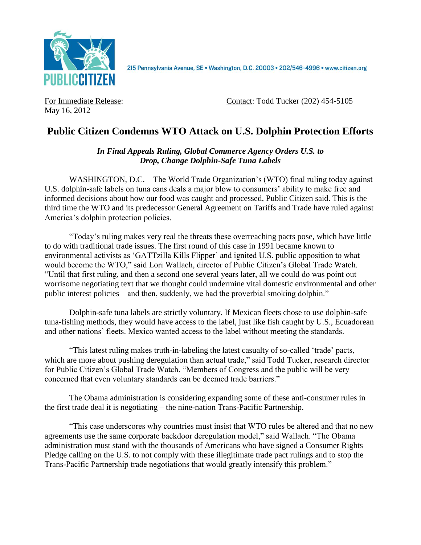

2I5 Pennsylvania Avenue, SE · Washington, D.C. 20003 · 202/546-4996 · www.citizen.org

May 16, 2012

For Immediate Release: Contact: Todd Tucker (202) 454-5105

## **Public Citizen Condemns WTO Attack on U.S. Dolphin Protection Efforts**

*In Final Appeals Ruling, Global Commerce Agency Orders U.S. to Drop, Change Dolphin-Safe Tuna Labels*

WASHINGTON, D.C. – The World Trade Organization's (WTO) final ruling today against U.S. dolphin-safe labels on tuna cans deals a major blow to consumers' ability to make free and informed decisions about how our food was caught and processed, Public Citizen said. This is the third time the WTO and its predecessor General Agreement on Tariffs and Trade have ruled against America's dolphin protection policies.

"Today's ruling makes very real the threats these overreaching pacts pose, which have little to do with traditional trade issues. The first round of this case in 1991 became known to environmental activists as 'GATTzilla Kills Flipper' and ignited U.S. public opposition to what would become the WTO," said Lori Wallach, director of Public Citizen's Global Trade Watch. "Until that first ruling, and then a second one several years later, all we could do was point out worrisome negotiating text that we thought could undermine vital domestic environmental and other public interest policies – and then, suddenly, we had the proverbial smoking dolphin."

Dolphin-safe tuna labels are strictly voluntary. If Mexican fleets chose to use dolphin-safe tuna-fishing methods, they would have access to the label, just like fish caught by U.S., Ecuadorean and other nations' fleets. Mexico wanted access to the label without meeting the standards.

"This latest ruling makes truth-in-labeling the latest casualty of so-called 'trade' pacts, which are more about pushing deregulation than actual trade," said Todd Tucker, research director for Public Citizen's Global Trade Watch. "Members of Congress and the public will be very concerned that even voluntary standards can be deemed trade barriers."

The Obama administration is considering expanding some of these anti-consumer rules in the first trade deal it is negotiating – the nine-nation Trans-Pacific Partnership.

"This case underscores why countries must insist that WTO rules be altered and that no new agreements use the same corporate backdoor deregulation model," said Wallach. "The Obama administration must stand with the thousands of Americans who have signed a Consumer Rights Pledge calling on the U.S. to not comply with these illegitimate trade pact rulings and to stop the Trans-Pacific Partnership trade negotiations that would greatly intensify this problem."